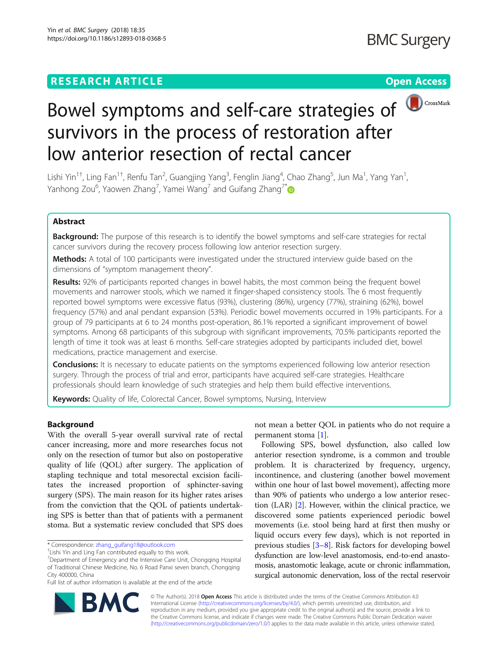## **RESEARCH ARTICLE Example 2014 12:30 The Contract of Contract ACCESS**



# Bowel symptoms and self-care strategies of survivors in the process of restoration after low anterior resection of rectal cancer

Lishi Yin<sup>1†</sup>, Ling Fan<sup>1†</sup>, Renfu Tan<sup>2</sup>, Guangjing Yang<sup>3</sup>, Fenglin Jiang<sup>4</sup>, Chao Zhang<sup>5</sup>, Jun Ma<sup>1</sup>, Yang Yan<sup>1</sup> , Yanhong Zou<sup>6</sup>, Yaowen Zhang<sup>7</sup>, Yamei Wang<sup>7</sup> and Guifang Zhang<sup>7\*</sup>

### Abstract

Background: The purpose of this research is to identify the bowel symptoms and self-care strategies for rectal cancer survivors during the recovery process following low anterior resection surgery.

Methods: A total of 100 participants were investigated under the structured interview guide based on the dimensions of "symptom management theory".

Results: 92% of participants reported changes in bowel habits, the most common being the frequent bowel movements and narrower stools, which we named it finger-shaped consistency stools. The 6 most frequently reported bowel symptoms were excessive flatus (93%), clustering (86%), urgency (77%), straining (62%), bowel frequency (57%) and anal pendant expansion (53%). Periodic bowel movements occurred in 19% participants. For a group of 79 participants at 6 to 24 months post-operation, 86.1% reported a significant improvement of bowel symptoms. Among 68 participants of this subgroup with significant improvements, 70.5% participants reported the length of time it took was at least 6 months. Self-care strategies adopted by participants included diet, bowel medications, practice management and exercise.

**Conclusions:** It is necessary to educate patients on the symptoms experienced following low anterior resection surgery. Through the process of trial and error, participants have acquired self-care strategies. Healthcare professionals should learn knowledge of such strategies and help them build effective interventions.

**Keywords:** Quality of life, Colorectal Cancer, Bowel symptoms, Nursing, Interview

#### Background

With the overall 5-year overall survival rate of rectal cancer increasing, more and more researches focus not only on the resection of tumor but also on postoperative quality of life (QOL) after surgery. The application of stapling technique and total mesorectal excision facilitates the increased proportion of sphincter-saving surgery (SPS). The main reason for its higher rates arises from the conviction that the QOL of patients undertaking SPS is better than that of patients with a permanent stoma. But a systematic review concluded that SPS does

Full list of author information is available at the end of the article

not mean a better QOL in patients who do not require a permanent stoma [[1\]](#page-5-0).

Following SPS, bowel dysfunction, also called low anterior resection syndrome, is a common and trouble problem. It is characterized by frequency, urgency, incontinence, and clustering (another bowel movement within one hour of last bowel movement), affecting more than 90% of patients who undergo a low anterior resection (LAR) [\[2](#page-5-0)]. However, within the clinical practice, we discovered some patients experienced periodic bowel movements (i.e. stool being hard at first then mushy or liquid occurs every few days), which is not reported in previous studies [\[3](#page-5-0)–[8\]](#page-5-0). Risk factors for developing bowel dysfunction are low-level anastomosis, end-to-end anastomosis, anastomotic leakage, acute or chronic inflammation, surgical autonomic denervation, loss of the rectal reservoir



© The Author(s). 2018 Open Access This article is distributed under the terms of the Creative Commons Attribution 4.0 International License [\(http://creativecommons.org/licenses/by/4.0/](http://creativecommons.org/licenses/by/4.0/)), which permits unrestricted use, distribution, and reproduction in any medium, provided you give appropriate credit to the original author(s) and the source, provide a link to the Creative Commons license, and indicate if changes were made. The Creative Commons Public Domain Dedication waiver [\(http://creativecommons.org/publicdomain/zero/1.0/](http://creativecommons.org/publicdomain/zero/1.0/)) applies to the data made available in this article, unless otherwise stated.

<sup>\*</sup> Correspondence: [zhang\\_guifang18@outlook.com](mailto:zhang_guifang18@outlook.com) †

Lishi Yin and Ling Fan contributed equally to this work.

<sup>&</sup>lt;sup>7</sup>Department of Emergency and the Intensive Care Unit, Chongqing Hospital of Traditional Chinese Medicine, No. 6 Road Panxi seven branch, Chongqing City 400000, China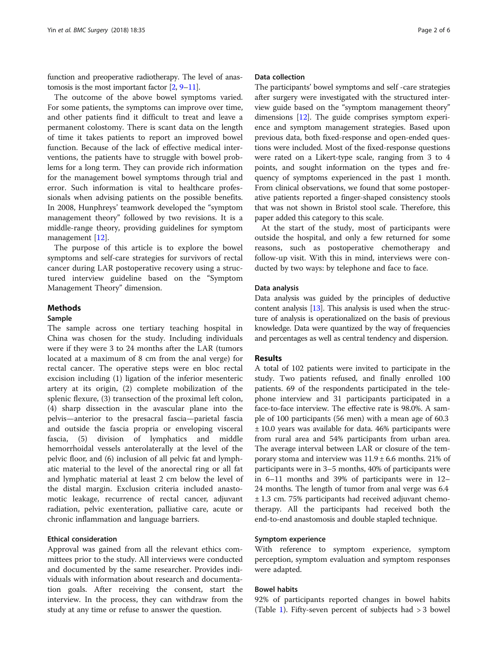function and preoperative radiotherapy. The level of anastomosis is the most important factor [\[2](#page-5-0), [9](#page-5-0)–[11\]](#page-5-0).

The outcome of the above bowel symptoms varied. For some patients, the symptoms can improve over time, and other patients find it difficult to treat and leave a permanent colostomy. There is scant data on the length of time it takes patients to report an improved bowel function. Because of the lack of effective medical interventions, the patients have to struggle with bowel problems for a long term. They can provide rich information for the management bowel symptoms through trial and error. Such information is vital to healthcare professionals when advising patients on the possible benefits. In 2008, Hunphreys' teamwork developed the "symptom management theory" followed by two revisions. It is a middle-range theory, providing guidelines for symptom management [\[12](#page-5-0)].

The purpose of this article is to explore the bowel symptoms and self-care strategies for survivors of rectal cancer during LAR postoperative recovery using a structured interview guideline based on the "Symptom Management Theory" dimension.

#### **Methods**

#### Sample

The sample across one tertiary teaching hospital in China was chosen for the study. Including individuals were if they were 3 to 24 months after the LAR (tumors located at a maximum of 8 cm from the anal verge) for rectal cancer. The operative steps were en bloc rectal excision including (1) ligation of the inferior mesenteric artery at its origin, (2) complete mobilization of the splenic flexure, (3) transection of the proximal left colon, (4) sharp dissection in the avascular plane into the pelvis—anterior to the presacral fascia—parietal fascia and outside the fascia propria or enveloping visceral fascia, (5) division of lymphatics and middle hemorrhoidal vessels anterolaterally at the level of the pelvic floor, and (6) inclusion of all pelvic fat and lymphatic material to the level of the anorectal ring or all fat and lymphatic material at least 2 cm below the level of the distal margin. Exclusion criteria included anastomotic leakage, recurrence of rectal cancer, adjuvant radiation, pelvic exenteration, palliative care, acute or chronic inflammation and language barriers.

#### Ethical consideration

Approval was gained from all the relevant ethics committees prior to the study. All interviews were conducted and documented by the same researcher. Provides individuals with information about research and documentation goals. After receiving the consent, start the interview. In the process, they can withdraw from the study at any time or refuse to answer the question.

#### Data collection

The participants' bowel symptoms and self -care strategies after surgery were investigated with the structured interview guide based on the "symptom management theory" dimensions [[12](#page-5-0)]. The guide comprises symptom experience and symptom management strategies. Based upon previous data, both fixed-response and open-ended questions were included. Most of the fixed-response questions were rated on a Likert-type scale, ranging from 3 to 4 points, and sought information on the types and frequency of symptoms experienced in the past 1 month. From clinical observations, we found that some postoperative patients reported a finger-shaped consistency stools that was not shown in Bristol stool scale. Therefore, this paper added this category to this scale.

At the start of the study, most of participants were outside the hospital, and only a few returned for some reasons, such as postoperative chemotherapy and follow-up visit. With this in mind, interviews were conducted by two ways: by telephone and face to face.

#### Data analysis

Data analysis was guided by the principles of deductive content analysis [[13](#page-5-0)]. This analysis is used when the structure of analysis is operationalized on the basis of previous knowledge. Data were quantized by the way of frequencies and percentages as well as central tendency and dispersion.

#### **Results**

A total of 102 patients were invited to participate in the study. Two patients refused, and finally enrolled 100 patients. 69 of the respondents participated in the telephone interview and 31 participants participated in a face-to-face interview. The effective rate is 98.0%. A sample of 100 participants (56 men) with a mean age of 60.3 ± 10.0 years was available for data. 46% participants were from rural area and 54% participants from urban area. The average interval between LAR or closure of the temporary stoma and interview was  $11.9 \pm 6.6$  months. 21% of participants were in 3–5 months, 40% of participants were in 6–11 months and 39% of participants were in 12– 24 months. The length of tumor from anal verge was 6.4 ± 1.3 cm. 75% participants had received adjuvant chemotherapy. All the participants had received both the end-to-end anastomosis and double stapled technique.

#### Symptom experience

With reference to symptom experience, symptom perception, symptom evaluation and symptom responses were adapted.

#### Bowel habits

92% of participants reported changes in bowel habits (Table [1\)](#page-2-0). Fifty-seven percent of subjects had > 3 bowel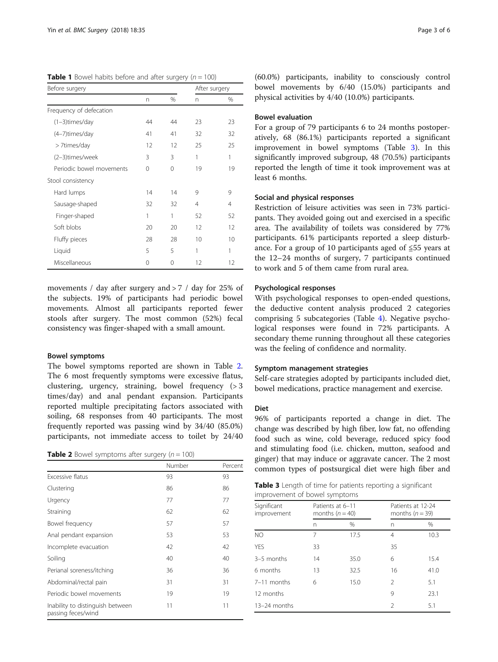<span id="page-2-0"></span>**Table 1** Bowel habits before and after surgery ( $n = 100$ )

| Before surgery           |    |          | After surgery  |    |
|--------------------------|----|----------|----------------|----|
|                          | n  | %        | n              | %  |
| Frequency of defecation  |    |          |                |    |
| (1-3)times/day           | 44 | 44       | 23             | 23 |
| (4-7)times/day           | 41 | 41       | 32             | 32 |
| > 7times/day             | 12 | 12       | 25             | 25 |
| (2-3)times/week          | 3  | 3        | 1              | 1  |
| Periodic bowel movements | 0  | $\Omega$ | 19             | 19 |
| Stool consistency        |    |          |                |    |
| Hard lumps               | 14 | 14       | 9              | 9  |
| Sausage-shaped           | 32 | 32       | $\overline{4}$ | 4  |
| Finger-shaped            | 1  | 1        | 52             | 52 |
| Soft blobs               | 20 | 20       | 12             | 12 |
| Fluffy pieces            | 28 | 28       | 10             | 10 |
| Liquid                   | 5  | 5        | 1              | 1  |
| Miscellaneous            | 0  | 0        | 12             | 12 |

movements / day after surgery and > 7 / day for 25% of the subjects. 19% of participants had periodic bowel movements. Almost all participants reported fewer stools after surgery. The most common (52%) fecal consistency was finger-shaped with a small amount.

#### Bowel symptoms

The bowel symptoms reported are shown in Table 2. The 6 most frequently symptoms were excessive flatus, clustering, urgency, straining, bowel frequency (> 3 times/day) and anal pendant expansion. Participants reported multiple precipitating factors associated with soiling, 68 responses from 40 participants. The most frequently reported was passing wind by 34/40 (85.0%) participants, not immediate access to toilet by 24/40

**Table 2** Bowel symptoms after surgery  $(n = 100)$ 

|                                                        | Number | Percent |
|--------------------------------------------------------|--------|---------|
| Excessive flatus                                       | 93     | 93      |
| Clustering                                             | 86     | 86      |
| Urgency                                                | 77     | 77      |
| Straining                                              | 62     | 62      |
| Bowel frequency                                        | 57     | 57      |
| Anal pendant expansion                                 | 53     | 53      |
| Incomplete evacuation                                  | 42     | 42      |
| Soiling                                                | 40     | 40      |
| Perianal soreness/itching                              | 36     | 36      |
| Abdominal/rectal pain                                  | 31     | 31      |
| Periodic bowel movements                               | 19     | 19      |
| Inability to distinguish between<br>passing feces/wind | 11     | 11      |

(60.0%) participants, inability to consciously control bowel movements by 6/40 (15.0%) participants and physical activities by 4/40 (10.0%) participants.

#### Bowel evaluation

For a group of 79 participants 6 to 24 months postoperatively, 68 (86.1%) participants reported a significant improvement in bowel symptoms (Table 3). In this significantly improved subgroup, 48 (70.5%) participants reported the length of time it took improvement was at least 6 months.

#### Social and physical responses

Restriction of leisure activities was seen in 73% participants. They avoided going out and exercised in a specific area. The availability of toilets was considered by 77% participants. 61% participants reported a sleep disturbance. For a group of 10 participants aged of ≦55 years at the 12–24 months of surgery, 7 participants continued to work and 5 of them came from rural area.

#### Psychological responses

With psychological responses to open-ended questions, the deductive content analysis produced 2 categories comprising 5 subcategories (Table [4](#page-3-0)). Negative psychological responses were found in 72% participants. A secondary theme running throughout all these categories was the feeling of confidence and normality.

#### Symptom management strategies

Self-care strategies adopted by participants included diet, bowel medications, practice management and exercise.

#### Diet

96% of participants reported a change in diet. The change was described by high fiber, low fat, no offending food such as wine, cold beverage, reduced spicy food and stimulating food (i.e. chicken, mutton, seafood and ginger) that may induce or aggravate cancer. The 2 most common types of postsurgical diet were high fiber and

Table 3 Length of time for patients reporting a significant improvement of bowel symptoms

| Significant<br>improvement |    | Patients at 6-11<br>months $(n = 40)$ |                | Patients at 12-24<br>months $(n = 39)$ |  |
|----------------------------|----|---------------------------------------|----------------|----------------------------------------|--|
|                            | n  | %                                     | n              | %                                      |  |
| NO.                        | 7  | 17.5                                  | $\overline{4}$ | 10.3                                   |  |
| <b>YFS</b>                 | 33 |                                       | 35             |                                        |  |
| $3-5$ months               | 14 | 35.0                                  | 6              | 15.4                                   |  |
| 6 months                   | 13 | 32.5                                  | 16             | 41.0                                   |  |
| 7-11 months                | 6  | 15.0                                  | $\mathfrak{D}$ | 5.1                                    |  |
| 12 months                  |    |                                       | 9              | 23.1                                   |  |
| $13-24$ months             |    |                                       | $\mathfrak{D}$ | 5.1                                    |  |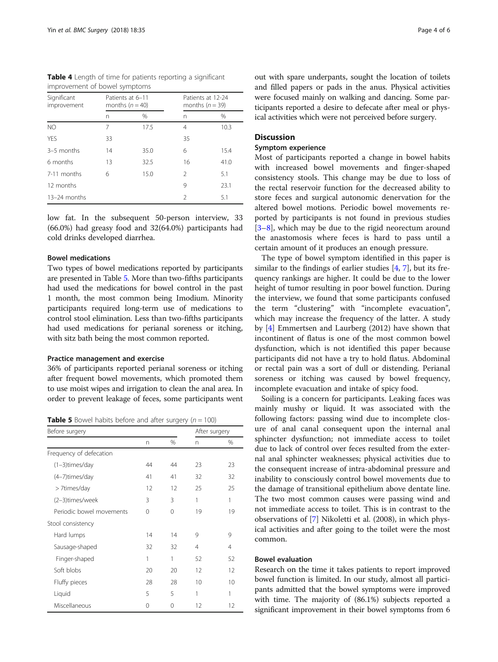<span id="page-3-0"></span>Table 4 Length of time for patients reporting a significant improvement of bowel symptoms

| Significant<br>improvement |    | Patients at 6-11<br>months $(n = 40)$ |                | Patients at 12-24<br>months ( $n = 39$ ) |  |
|----------------------------|----|---------------------------------------|----------------|------------------------------------------|--|
|                            | n  | %                                     | n              | $\%$                                     |  |
| <b>NO</b>                  | 7  | 17.5                                  | 4              | 10.3                                     |  |
| <b>YFS</b>                 | 33 |                                       | 35             |                                          |  |
| $3-5$ months               | 14 | 35.0                                  | 6              | 15.4                                     |  |
| 6 months                   | 13 | 32.5                                  | 16             | 41.0                                     |  |
| 7-11 months                | 6  | 15.0                                  | $\mathfrak{D}$ | 5.1                                      |  |
| 12 months                  |    |                                       | 9              | 23.1                                     |  |
| $13-24$ months             |    |                                       | $\mathfrak{D}$ | 5.1                                      |  |

low fat. In the subsequent 50-person interview, 33 (66.0%) had greasy food and 32(64.0%) participants had cold drinks developed diarrhea.

#### Bowel medications

Two types of bowel medications reported by participants are presented in Table 5. More than two-fifths participants had used the medications for bowel control in the past 1 month, the most common being Imodium. Minority participants required long-term use of medications to control stool elimination. Less than two-fifths participants had used medications for perianal soreness or itching, with sitz bath being the most common reported.

#### Practice management and exercise

36% of participants reported perianal soreness or itching after frequent bowel movements, which promoted them to use moist wipes and irrigation to clean the anal area. In order to prevent leakage of feces, some participants went

**Table 5** Bowel habits before and after surgery ( $n = 100$ )

| Before surgery           |    |          | After surgery |    |
|--------------------------|----|----------|---------------|----|
|                          | n  | $\%$     | n             | %  |
| Frequency of defecation  |    |          |               |    |
| $(1-3)$ times/day        | 44 | 44       | 23            | 23 |
| (4-7)times/day           | 41 | 41       | 32            | 32 |
| > 7times/day             | 12 | 12       | 25            | 25 |
| (2-3)times/week          | 3  | 3        | 1             | 1  |
| Periodic bowel movements | 0  | $\Omega$ | 19            | 19 |
| Stool consistency        |    |          |               |    |
| Hard lumps               | 14 | 14       | 9             | 9  |
| Sausage-shaped           | 32 | 32       | 4             | 4  |
| Finger-shaped            | 1  | 1        | 52            | 52 |
| Soft blobs               | 20 | 20       | 12            | 12 |
| Fluffy pieces            | 28 | 28       | 10            | 10 |
| Liquid                   | 5  | 5        | 1             | 1  |
| Miscellaneous            | 0  | 0        | 12            | 12 |

out with spare underpants, sought the location of toilets and filled papers or pads in the anus. Physical activities were focused mainly on walking and dancing. Some participants reported a desire to defecate after meal or physical activities which were not perceived before surgery.

#### **Discussion**

#### Symptom experience

Most of participants reported a change in bowel habits with increased bowel movements and finger-shaped consistency stools. This change may be due to loss of the rectal reservoir function for the decreased ability to store feces and surgical autonomic denervation for the altered bowel motions. Periodic bowel movements reported by participants is not found in previous studies [[3](#page-5-0)–[8\]](#page-5-0), which may be due to the rigid neorectum around the anastomosis where feces is hard to pass until a certain amount of it produces an enough pressure.

The type of bowel symptom identified in this paper is similar to the findings of earlier studies  $[4, 7]$  $[4, 7]$  $[4, 7]$  $[4, 7]$ , but its frequency rankings are higher. It could be due to the lower height of tumor resulting in poor bowel function. During the interview, we found that some participants confused the term "clustering" with "incomplete evacuation", which may increase the frequency of the latter. A study by [[4\]](#page-5-0) Emmertsen and Laurberg (2012) have shown that incontinent of flatus is one of the most common bowel dysfunction, which is not identified this paper because participants did not have a try to hold flatus. Abdominal or rectal pain was a sort of dull or distending. Perianal soreness or itching was caused by bowel frequency, incomplete evacuation and intake of spicy food.

Soiling is a concern for participants. Leaking faces was mainly mushy or liquid. It was associated with the following factors: passing wind due to incomplete closure of anal canal consequent upon the internal anal sphincter dysfunction; not immediate access to toilet due to lack of control over feces resulted from the external anal sphincter weaknesses; physical activities due to the consequent increase of intra-abdominal pressure and inability to consciously control bowel movements due to the damage of transitional epithelium above dentate line. The two most common causes were passing wind and not immediate access to toilet. This is in contrast to the observations of [\[7](#page-5-0)] Nikoletti et al. (2008), in which physical activities and after going to the toilet were the most common.

#### Bowel evaluation

Research on the time it takes patients to report improved bowel function is limited. In our study, almost all participants admitted that the bowel symptoms were improved with time. The majority of (86.1%) subjects reported a significant improvement in their bowel symptoms from 6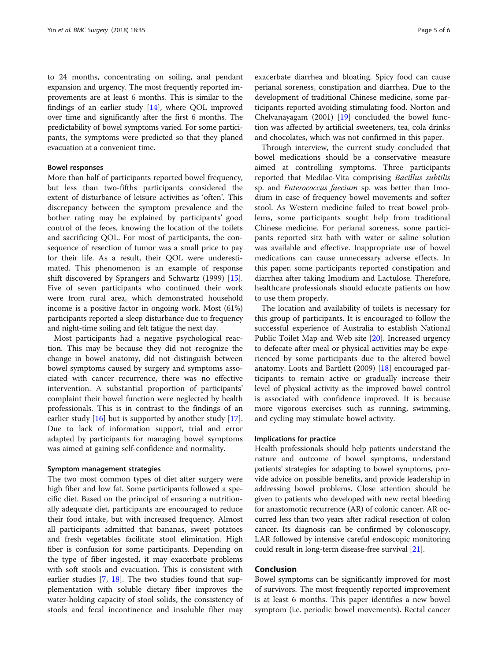to 24 months, concentrating on soiling, anal pendant expansion and urgency. The most frequently reported improvements are at least 6 months. This is similar to the findings of an earlier study [[14](#page-5-0)], where QOL improved over time and significantly after the first 6 months. The predictability of bowel symptoms varied. For some participants, the symptoms were predicted so that they planed evacuation at a convenient time.

#### Bowel responses

More than half of participants reported bowel frequency, but less than two-fifths participants considered the extent of disturbance of leisure activities as 'often'. This discrepancy between the symptom prevalence and the bother rating may be explained by participants' good control of the feces, knowing the location of the toilets and sacrificing QOL. For most of participants, the consequence of resection of tumor was a small price to pay for their life. As a result, their QOL were underestimated. This phenomenon is an example of response shift discovered by Sprangers and Schwartz (1999) [\[15](#page-5-0)]. Five of seven participants who continued their work were from rural area, which demonstrated household income is a positive factor in ongoing work. Most (61%) participants reported a sleep disturbance due to frequency and night-time soiling and felt fatigue the next day.

Most participants had a negative psychological reaction. This may be because they did not recognize the change in bowel anatomy, did not distinguish between bowel symptoms caused by surgery and symptoms associated with cancer recurrence, there was no effective intervention. A substantial proportion of participants' complaint their bowel function were neglected by health professionals. This is in contrast to the findings of an earlier study  $[16]$  $[16]$  $[16]$  but is supported by another study  $[17]$  $[17]$ . Due to lack of information support, trial and error adapted by participants for managing bowel symptoms was aimed at gaining self-confidence and normality.

#### Symptom management strategies

The two most common types of diet after surgery were high fiber and low fat. Some participants followed a specific diet. Based on the principal of ensuring a nutritionally adequate diet, participants are encouraged to reduce their food intake, but with increased frequency. Almost all participants admitted that bananas, sweet potatoes and fresh vegetables facilitate stool elimination. High fiber is confusion for some participants. Depending on the type of fiber ingested, it may exacerbate problems with soft stools and evacuation. This is consistent with earlier studies [[7,](#page-5-0) [18\]](#page-5-0). The two studies found that supplementation with soluble dietary fiber improves the water-holding capacity of stool solids, the consistency of stools and fecal incontinence and insoluble fiber may

exacerbate diarrhea and bloating. Spicy food can cause perianal soreness, constipation and diarrhea. Due to the development of traditional Chinese medicine, some participants reported avoiding stimulating food. Norton and Chelvanayagam (2001) [[19\]](#page-5-0) concluded the bowel function was affected by artificial sweeteners, tea, cola drinks and chocolates, which was not confirmed in this paper.

Through interview, the current study concluded that bowel medications should be a conservative measure aimed at controlling symptoms. Three participants reported that Medilac-Vita comprising Bacillus subtilis sp. and Enterococcus faecium sp. was better than Imodium in case of frequency bowel movements and softer stool. As Western medicine failed to treat bowel problems, some participants sought help from traditional Chinese medicine. For perianal soreness, some participants reported sitz bath with water or saline solution was available and effective. Inappropriate use of bowel medications can cause unnecessary adverse effects. In this paper, some participants reported constipation and diarrhea after taking Imodium and Lactulose. Therefore, healthcare professionals should educate patients on how to use them properly.

The location and availability of toilets is necessary for this group of participants. It is encouraged to follow the successful experience of Australia to establish National Public Toilet Map and Web site [\[20\]](#page-5-0). Increased urgency to defecate after meal or physical activities may be experienced by some participants due to the altered bowel anatomy. Loots and Bartlett (2009) [\[18](#page-5-0)] encouraged participants to remain active or gradually increase their level of physical activity as the improved bowel control is associated with confidence improved. It is because more vigorous exercises such as running, swimming, and cycling may stimulate bowel activity.

#### Implications for practice

Health professionals should help patients understand the nature and outcome of bowel symptoms, understand patients' strategies for adapting to bowel symptoms, provide advice on possible benefits, and provide leadership in addressing bowel problems. Close attention should be given to patients who developed with new rectal bleeding for anastomotic recurrence (AR) of colonic cancer. AR occurred less than two years after radical resection of colon cancer. Its diagnosis can be confirmed by colonoscopy. LAR followed by intensive careful endoscopic monitoring could result in long-term disease-free survival [\[21\]](#page-5-0).

#### Conclusion

Bowel symptoms can be significantly improved for most of survivors. The most frequently reported improvement is at least 6 months. This paper identifies a new bowel symptom (i.e. periodic bowel movements). Rectal cancer